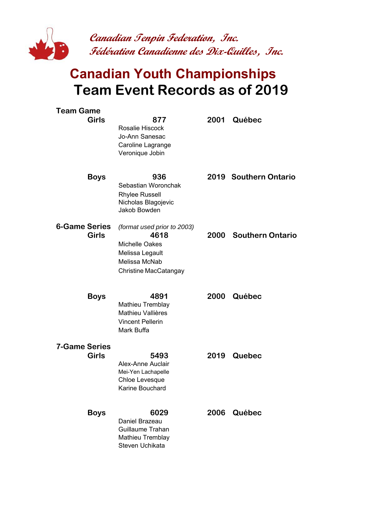

## **Canadian Youth Championships Team Event Records as of 2019**

| <b>Team Game</b>     |              |                                                                                                                    |      |                       |
|----------------------|--------------|--------------------------------------------------------------------------------------------------------------------|------|-----------------------|
|                      | <b>Girls</b> | 877<br>Rosalie Hiscock<br>Jo-Ann Sanesac<br>Caroline Lagrange<br>Veronique Jobin                                   | 2001 | Québec                |
|                      | <b>Boys</b>  | 936<br>Sebastian Woronchak<br><b>Rhylee Russell</b><br>Nicholas Blagojevic<br>Jakob Bowden                         |      | 2019 Southern Ontario |
| <b>6-Game Series</b> | <b>Girls</b> | (format used prior to 2003)<br>4618<br>Michelle Oakes<br>Melissa Legault<br>Melissa McNab<br>Christine MacCatangay |      | 2000 Southern Ontario |
|                      | <b>Boys</b>  | 4891<br>Mathieu Tremblay<br>Mathieu Vallières<br><b>Vincent Pellerin</b><br>Mark Buffa                             |      | 2000 Québec           |
| <b>7-Game Series</b> | <b>Girls</b> | 5493<br>Alex-Anne Auclair<br>Mei-Yen Lachapelle<br>Chloe Levesque<br>Karine Bouchard                               | 2019 | <b>Quebec</b>         |
|                      | <b>Boys</b>  | 6029<br>Daniel Brazeau<br>Guillaume Trahan<br>Mathieu Tremblay<br>Steven Uchikata                                  | 2006 | Québec                |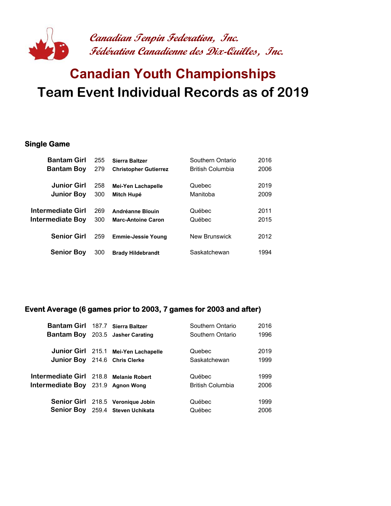

## **Canadian Youth Championships Team Event Individual Records as of 2019**

#### **Single Game**

| <b>Bantam Girl</b> | 255 | <b>Sierra Baltzer</b>        | Southern Ontario        | 2016 |
|--------------------|-----|------------------------------|-------------------------|------|
| <b>Bantam Boy</b>  | 279 | <b>Christopher Gutierrez</b> | <b>British Columbia</b> | 2006 |
| <b>Junior Girl</b> | 258 | Mei-Yen Lachapelle           | Quebec                  | 2019 |
| <b>Junior Boy</b>  | 300 | Mitch Hupé                   | Manitoba                | 2009 |
| Intermediate Girl  | 269 | Andréanne Blouin             | Québec                  | 2011 |
| Intermediate Boy   | 300 | <b>Marc-Antoine Caron</b>    | Québec                  | 2015 |
| <b>Senior Girl</b> | 259 | <b>Emmie-Jessie Young</b>    | <b>New Brunswick</b>    | 2012 |
| <b>Senior Boy</b>  | 300 | <b>Brady Hildebrandt</b>     | Saskatchewan            | 1994 |

### **Event Average (6 games prior to 2003, 7 games for 2003 and after)**

| Bantam Girl 187.7 Sierra Baltzer       |                                         | Southern Ontario        | 2016 |
|----------------------------------------|-----------------------------------------|-------------------------|------|
|                                        | <b>Bantam Boy</b> 203.5 Jasher Carating | Southern Ontario        | 1996 |
|                                        | Junior Girl 215.1 Mei-Yen Lachapelle    | Quebec                  | 2019 |
| <b>Junior Boy</b> 214.6 Chris Clerke   |                                         | Saskatchewan            | 1999 |
|                                        |                                         |                         |      |
| Intermediate Girl 218.8 Melanie Robert |                                         | Québec                  | 1999 |
| Intermediate Boy 231.9 Agnon Wong      |                                         | <b>British Columbia</b> | 2006 |
|                                        |                                         |                         |      |
|                                        | Senior Girl 218.5 Veronique Jobin       | Québec                  | 1999 |
|                                        | Senior Boy 259.4 Steven Uchikata        | Québec                  | 2006 |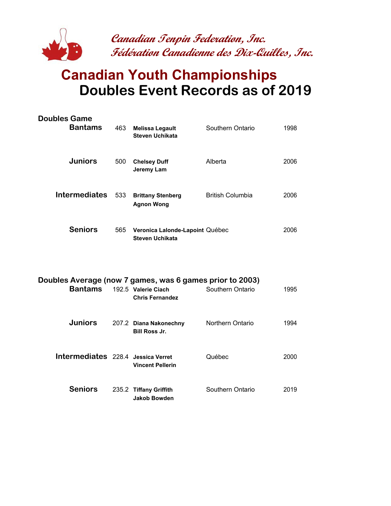

**Canadian Tenpin Federation, Inc. Fédération Canadienne des Dix-Quilles, Inc.**

## **Canadian Youth Championships Doubles Event Records as of 2019**

| <b>Doubles Game</b><br><b>Bantams</b>                                      | 463 | <b>Melissa Legault</b><br><b>Steven Uchikata</b>          | Southern Ontario        | 1998 |
|----------------------------------------------------------------------------|-----|-----------------------------------------------------------|-------------------------|------|
| <b>Juniors</b>                                                             | 500 | <b>Chelsey Duff</b><br>Jeremy Lam                         | Alberta                 | 2006 |
| <b>Intermediates</b>                                                       | 533 | <b>Brittany Stenberg</b><br><b>Agnon Wong</b>             | <b>British Columbia</b> | 2006 |
| <b>Seniors</b>                                                             | 565 | Veronica Lalonde-Lapoint Québec<br><b>Steven Uchikata</b> |                         | 2006 |
| Doubles Average (now 7 games, was 6 games prior to 2003)<br><b>Bantams</b> |     | 192.5 Valerie Ciach                                       | Southern Ontario        | 1995 |

|                                    | <b>Chris Fernandez</b>                         |                  |      |
|------------------------------------|------------------------------------------------|------------------|------|
| <b>Juniors</b>                     | 207.2 Diana Nakonechny<br><b>Bill Ross Jr.</b> | Northern Ontario | 1994 |
| Intermediates 228.4 Jessica Verret | <b>Vincent Pellerin</b>                        | Québec           | 2000 |
| <b>Seniors</b>                     | 235.2 Tiffany Griffith<br>Jakob Bowden         | Southern Ontario | 2019 |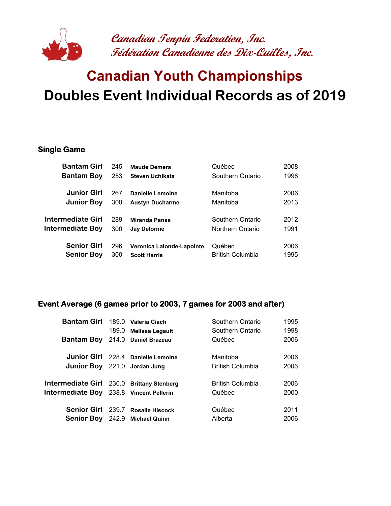

**Canadian Tenpin Federation, Inc. Fédération Canadienne des Dix-Quilles, Inc.**

# **Canadian Youth Championships Doubles Event Individual Records as of 2019**

#### **Single Game**

| <b>Bantam Girl</b>      | 245 | <b>Maude Demers</b>       | Québec           | 2008 |
|-------------------------|-----|---------------------------|------------------|------|
| <b>Bantam Boy</b>       | 253 | Steven Uchikata           | Southern Ontario | 1998 |
|                         |     |                           |                  |      |
| <b>Junior Girl</b>      | 267 | Danielle Lemoine          | Manitoba         | 2006 |
| <b>Junior Boy</b>       | 300 | <b>Austyn Ducharme</b>    | Manitoba         | 2013 |
|                         |     |                           |                  |      |
| Intermediate Girl       | 289 | <b>Miranda Panas</b>      | Southern Ontario | 2012 |
| <b>Intermediate Boy</b> | 300 | <b>Jay Delorme</b>        | Northern Ontario | 1991 |
|                         |     |                           |                  |      |
| <b>Senior Girl</b>      | 296 | Veronica Lalonde-Lapointe | Québec           | 2006 |
| <b>Senior Boy</b>       | 300 | <b>Scott Harris</b>       | British Columbia | 1995 |

### **Event Average (6 games prior to 2003, 7 games for 2003 and after)**

| Bantam Girl 189.0 Valeria Ciach                |                                    | Southern Ontario        | 1995 |  |
|------------------------------------------------|------------------------------------|-------------------------|------|--|
|                                                | 189.0 Melissa Legault              | Southern Ontario        | 1998 |  |
| <b>Bantam Boy</b>                              | 214.0 Daniel Brazeau               | Québec                  | 2006 |  |
|                                                | Junior Girl 228.4 Danielle Lemoine | Manitoba                | 2006 |  |
|                                                |                                    |                         |      |  |
| <b>Junior Boy</b> 221.0 Jordan Jung            |                                    | <b>British Columbia</b> | 2006 |  |
| Intermediate Girl 230.0 Brittany Stenberg      |                                    | British Columbia        | 2006 |  |
| <b>Intermediate Boy</b> 238.8 Vincent Pellerin |                                    | Québec                  | 2000 |  |
|                                                | Senior Girl 239.7 Rosalie Hiscock  | Québec                  | 2011 |  |
|                                                |                                    |                         |      |  |
|                                                | Senior Boy 242.9 Michael Quinn     | Alberta                 | 2006 |  |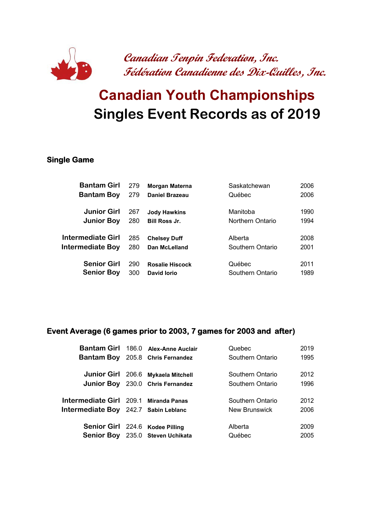

# **Canadian Youth Championships Singles Event Records as of 2019**

### **Single Game**

| <b>Bantam Girl</b>      | 279 | <b>Morgan Materna</b>  | Saskatchewan     | 2006 |
|-------------------------|-----|------------------------|------------------|------|
| <b>Bantam Boy</b>       | 279 | <b>Daniel Brazeau</b>  | Québec           | 2006 |
| <b>Junior Girl</b>      | 267 | <b>Jody Hawkins</b>    | Manitoba         | 1990 |
| <b>Junior Boy</b>       | 280 | <b>Bill Ross Jr.</b>   | Northern Ontario | 1994 |
| Intermediate Girl       | 285 | <b>Chelsey Duff</b>    | Alberta          | 2008 |
| <b>Intermediate Boy</b> | 280 | Dan McLelland          | Southern Ontario | 2001 |
| <b>Senior Girl</b>      | 290 | <b>Rosalie Hiscock</b> | Québec           | 2011 |
| <b>Senior Boy</b>       | 300 | David lorio            | Southern Ontario | 1989 |

### **Event Average (6 games prior to 2003, 7 games for 2003 and after)**

| Southern Ontario<br><b>Bantam Boy</b> 205.8 Chris Fernandez | 1995 |
|-------------------------------------------------------------|------|
|                                                             |      |
| Junior Girl 206.6 Mykaela Mitchell<br>Southern Ontario      | 2012 |
| Junior Boy 230.0 Chris Fernandez<br>Southern Ontario        | 1996 |
|                                                             |      |
| Intermediate Girl 209.1 Miranda Panas<br>Southern Ontario   | 2012 |
| Intermediate Boy 242.7 Sabin Leblanc<br>New Brunswick       | 2006 |
|                                                             |      |
|                                                             |      |
| Senior Girl 224.6 Kodee Pilling<br>Alberta                  | 2009 |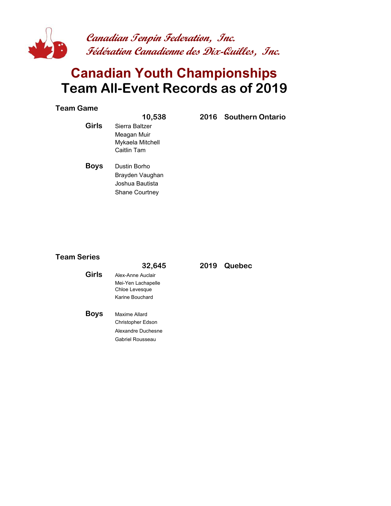

### **Canadian Youth Championships Team All-Event Records as of 2019**

#### **Team Game**

**Girls** Sierra Baltzer Meagan Muir Mykaela Mitchell Caitlin Tam

**10,538 2016 Southern Ontario** 

**Boys** Dustin Borho Brayden Vaughan Joshua Bautista Shane Courtney

#### **Team Series**

|       | 32,645                               |
|-------|--------------------------------------|
| Girls | Alex-Anne Auclair                    |
|       | Mei-Yen Lachapelle<br>Chloe Levesque |
|       | Karine Bouchard                      |
|       |                                      |
| Boys  | Maxime Allard                        |
|       | <b>Christopher Edson</b>             |
|       | Alexandre Duchesne                   |
|       | Gabriel Rousseau                     |

#### **32,645 2019 Quebec**